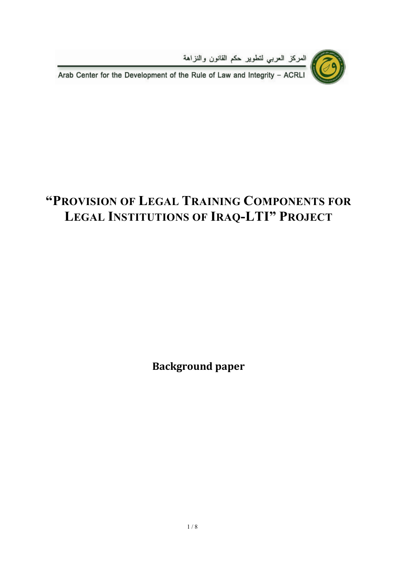

العركز العربي لتطوير حكم القانون والنزاهة<br>Arab Center for the Development of the Rule of Law and Integrity – ACRLI

# **"PROVISION OF LEGAL TRAINING COMPONENTS FOR LEGAL INSTITUTIONS OF IRAQ-LTI" PROJECT**

**Background paper**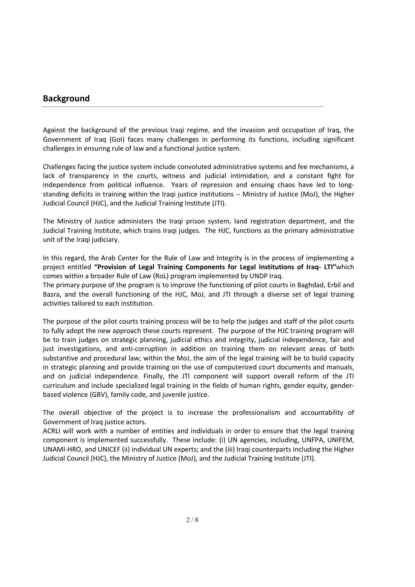#### **Background**

Against the background of the previous Iraqi regime, and the invasion and occupation of Iraq, the Government of Iraq (GoI) faces many challenges in performing its functions, including significant challenges in ensuring rule of law and a functional justice system.

Challenges facing the justice system include convoluted administrative systems and fee mechanisms, a lack of transparency in the courts, witness and judicial intimidation, and a constant fight for independence from political influence. Years of repression and ensuing chaos have led to longstanding deficits in training within the Iraqi justice institutions -- Ministry of Justice (MoJ), the Higher Judicial Council (HJC), and the Judicial Training Institute (JTI).

The Ministry of Justice administers the Iraqi prison system, land registration department, and the Judicial Training Institute, which trains Iraqi judges. The HJC, functions as the primary administrative unit of the Iraqi judiciary.

In this regard, the Arab Center for the Rule of Law and Integrity is in the process of implementing a project entitled **"Provision of Legal Training Components for Legal Institutions of Iraq- LTI"**which comes within a broader Rule of Law (RoL) program implemented by UNDP Iraq.

The primary purpose of the program is to improve the functioning of pilot courts in Baghdad, Erbil and Basra, and the overall functioning of the HJC, MoJ, and JTI through a diverse set of legal training activities tailored to each institution.

The purpose of the pilot courts training process will be to help the judges and staff of the pilot courts to fully adopt the new approach these courts represent. The purpose of the HJC training program will be to train judges on strategic planning, judicial ethics and integrity, judicial independence, fair and just investigations, and anti-corruption in addition on training them on relevant areas of both substantive and procedural law; within the MoJ, the aim of the legal training will be to build capacity in strategic planning and provide training on the use of computerized court documents and manuals, and on judicial independence. Finally, the JTI component will support overall reform of the JTI curriculum and include specialized legal training in the fields of human rights, gender equity, genderbased violence (GBV), family code, and juvenile justice.

The overall objective of the project is to increase the professionalism and accountability of Government of Iraq justice actors.

ACRLI will work with a number of entities and individuals in order to ensure that the legal training component is implemented successfully. These include: (i) UN agencies, including, UNFPA, UNIFEM, UNAMI-HRO, and UNICEF (ii) individual UN experts; and the (iii) Iraqi counterparts including the Higher Judicial Council (HJC), the Ministry of Justice (MoJ), and the Judicial Training Institute (JTI).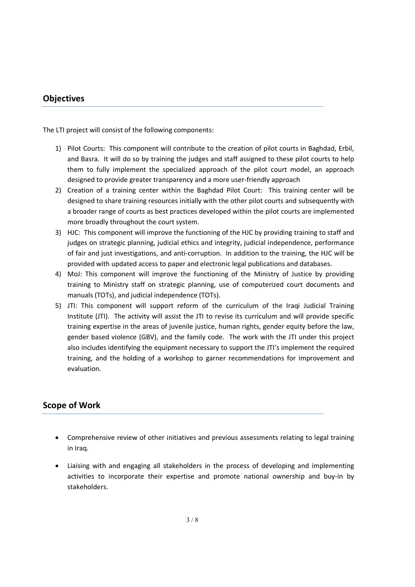### **Objectives**

The LTI project will consist of the following components:

- 1) Pilot Courts: This component will contribute to the creation of pilot courts in Baghdad, Erbil, and Basra. It will do so by training the judges and staff assigned to these pilot courts to help them to fully implement the specialized approach of the pilot court model, an approach designed to provide greater transparency and a more user-friendly approach
- 2) Creation of a training center within the Baghdad Pilot Court: This training center will be designed to share training resources initially with the other pilot courts and subsequently with a broader range of courts as best practices developed within the pilot courts are implemented more broadly throughout the court system.
- 3) HJC: This component will improve the functioning of the HJC by providing training to staff and judges on strategic planning, judicial ethics and integrity, judicial independence, performance of fair and just investigations, and anti-corruption. In addition to the training, the HJC will be provided with updated access to paper and electronic legal publications and databases.
- 4) MoJ: This component will improve the functioning of the Ministry of Justice by providing training to Ministry staff on strategic planning, use of computerized court documents and manuals (TOTs), and judicial independence (TOTs).
- 5) JTI: This component will support reform of the curriculum of the Iraqi Judicial Training Institute (JTI). The activity will assist the JTI to revise its curriculum and will provide specific training expertise in the areas of juvenile justice, human rights, gender equity before the law, gender based violence (GBV), and the family code. The work with the JTI under this project also includes identifying the equipment necessary to support the JTI's implement the required training, and the holding of a workshop to garner recommendations for improvement and evaluation.

## **Scope of Work**

- Comprehensive review of other initiatives and previous assessments relating to legal training in Iraq.
- Liaising with and engaging all stakeholders in the process of developing and implementing activities to incorporate their expertise and promote national ownership and buy-in by stakeholders.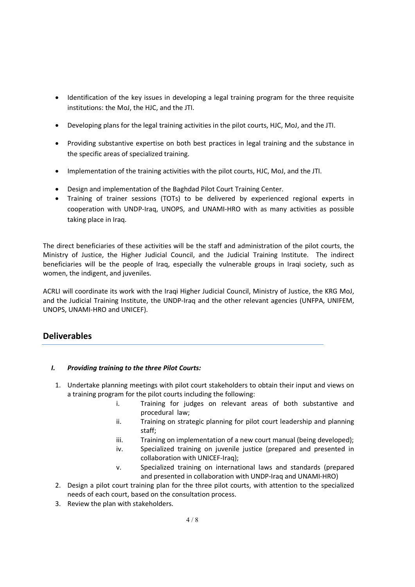- Identification of the key issues in developing a legal training program for the three requisite institutions: the MoJ, the HJC, and the JTI.
- Developing plans for the legal training activities in the pilot courts, HJC, MoJ, and the JTI.
- Providing substantive expertise on both best practices in legal training and the substance in the specific areas of specialized training.
- Implementation of the training activities with the pilot courts, HJC, MoJ, and the JTI.
- Design and implementation of the Baghdad Pilot Court Training Center.
- Training of trainer sessions (TOTs) to be delivered by experienced regional experts in cooperation with UNDP-Iraq, UNOPS, and UNAMI-HRO with as many activities as possible taking place in Iraq.

The direct beneficiaries of these activities will be the staff and administration of the pilot courts, the Ministry of Justice, the Higher Judicial Council, and the Judicial Training Institute. The indirect beneficiaries will be the people of Iraq, especially the vulnerable groups in Iraqi society, such as women, the indigent, and juveniles.

ACRLI will coordinate its work with the Iraqi Higher Judicial Council, Ministry of Justice, the KRG MoJ, and the Judicial Training Institute, the UNDP-Iraq and the other relevant agencies (UNFPA, UNIFEM, UNOPS, UNAMI-HRO and UNICEF).

# **Deliverables**

#### *I. Providing training to the three Pilot Courts:*

- 1. Undertake planning meetings with pilot court stakeholders to obtain their input and views on a training program for the pilot courts including the following:
	- i. Training for judges on relevant areas of both substantive and procedural law;
	- ii. Training on strategic planning for pilot court leadership and planning staff;
	- iii. Training on implementation of a new court manual (being developed);
	- iv. Specialized training on juvenile justice (prepared and presented in collaboration with UNICEF-Iraq);
	- v. Specialized training on international laws and standards (prepared and presented in collaboration with UNDP-Iraq and UNAMI-HRO)
- 2. Design a pilot court training plan for the three pilot courts, with attention to the specialized needs of each court, based on the consultation process.
- 3. Review the plan with stakeholders.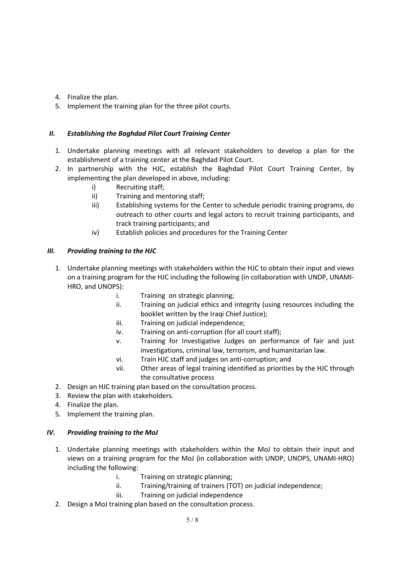- 4. Finalize the plan.
- 5. Implement the training plan for the three pilot courts.

#### *II. Establishing the Baghdad Pilot Court Training Center*

- 1. Undertake planning meetings with all relevant stakeholders to develop a plan for the establishment of a training center at the Baghdad Pilot Court.
- 2. In partnership with the HJC, establish the Baghdad Pilot Court Training Center, by implementing the plan developed in above, including:
	- i) Recruiting staff;
	- ii) Training and mentoring staff;
	- iii) Establishing systems for the Center to schedule periodic training programs, do outreach to other courts and legal actors to recruit training participants, and track training participants; and
	- iv) Establish policies and procedures for the Training Center

#### *III. Providing training to the HJC*

- 1. Undertake planning meetings with stakeholders within the HJC to obtain their input and views on a training program for the HJC including the following (in collaboration with UNDP, UNAMI-HRO, and UNOPS):
	- i. Training on strategic planning;
	- ii. Training on judicial ethics and integrity (using resources including the booklet written by the Iraqi Chief Justice);
	- iii. Training on judicial independence;
	- iv. Training on anti-corruption (for all court staff);
	- v. Training for Investigative Judges on performance of fair and just investigations, criminal law, terrorism, and humanitarian law.
	- vi. Train HJC staff and judges on anti-corruption; and
	- vii. Other areas of legal training identified as priorities by the HJC through the consultative process
- 2. Design an HJC training plan based on the consultation process.
- 3. Review the plan with stakeholders.
- 4. Finalize the plan.
- 5. Implement the training plan.

#### *IV. Providing training to the MoJ*

- 1. Undertake planning meetings with stakeholders within the MoJ to obtain their input and views on a training program for the MoJ (in collaboration with UNDP, UNOPS, UNAMI-HRO) including the following:
	- i. Training on strategic planning;
	- ii. Training/training of trainers (TOT) on judicial independence;
	- iii. Training on judicial independence
- 2. Design a MoJ training plan based on the consultation process.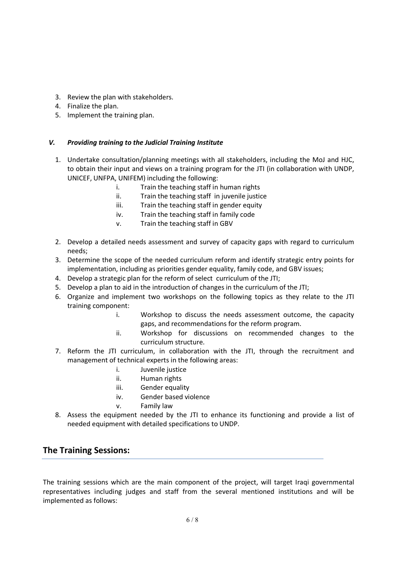- 3. Review the plan with stakeholders.
- 4. Finalize the plan.
- 5. Implement the training plan.

#### *V. Providing training to the Judicial Training Institute*

- 1. Undertake consultation/planning meetings with all stakeholders, including the MoJ and HJC, to obtain their input and views on a training program for the JTI (in collaboration with UNDP, UNICEF, UNFPA, UNIFEM) including the following:
	- i. Train the teaching staff in human rights
	- ii. Train the teaching staff in juvenile justice
	- iii. Train the teaching staff in gender equity
	- iv. Train the teaching staff in family code
	- v. Train the teaching staff in GBV
- 2. Develop a detailed needs assessment and survey of capacity gaps with regard to curriculum needs;
- 3. Determine the scope of the needed curriculum reform and identify strategic entry points for implementation, including as priorities gender equality, family code, and GBV issues;
- 4. Develop a strategic plan for the reform of select curriculum of the JTI;
- 5. Develop a plan to aid in the introduction of changes in the curriculum of the JTI;
- 6. Organize and implement two workshops on the following topics as they relate to the JTI training component:
	- i. Workshop to discuss the needs assessment outcome, the capacity gaps, and recommendations for the reform program.
	- ii. Workshop for discussions on recommended changes to the curriculum structure.
- 7. Reform the JTI curriculum, in collaboration with the JTI, through the recruitment and management of technical experts in the following areas:
	- i. Juvenile justice
	- ii. Human rights
	- iii. Gender equality
	- iv. Gender based violence
	- v. Family law
- 8. Assess the equipment needed by the JTI to enhance its functioning and provide a list of needed equipment with detailed specifications to UNDP.

## **The Training Sessions:**

The training sessions which are the main component of the project, will target Iraqi governmental representatives including judges and staff from the several mentioned institutions and will be implemented as follows: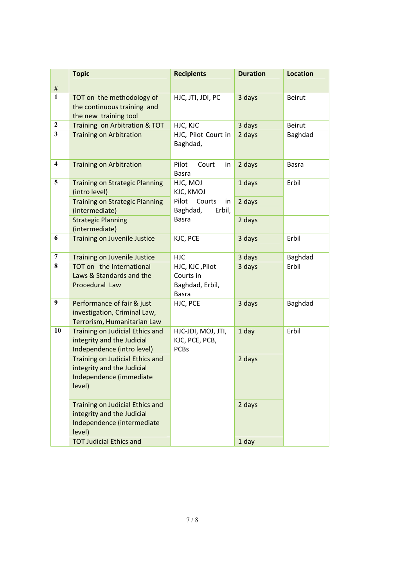|                         | <b>Topic</b>                                                                                          | <b>Recipients</b>                                               | <b>Duration</b> | <b>Location</b> |
|-------------------------|-------------------------------------------------------------------------------------------------------|-----------------------------------------------------------------|-----------------|-----------------|
| $\#$                    |                                                                                                       |                                                                 |                 |                 |
| $\mathbf{1}$            | TOT on the methodology of<br>the continuous training and<br>the new training tool                     | HJC, JTI, JDI, PC                                               | 3 days          | Beirut          |
| $\mathbf{2}$            | Training on Arbitration & TOT                                                                         | HJC, KJC                                                        | 3 days          | Beirut          |
| $\mathbf{3}$            | <b>Training on Arbitration</b>                                                                        | HJC, Pilot Court in<br>Baghdad,                                 | 2 days          | Baghdad         |
| $\overline{\mathbf{4}}$ | <b>Training on Arbitration</b>                                                                        | Pilot<br>Court<br>in<br><b>Basra</b>                            | 2 days          | Basra           |
| 5                       | <b>Training on Strategic Planning</b><br>(intro level)                                                | HJC, MOJ<br>KJC, KMOJ                                           | 1 days          | Erbil           |
|                         | <b>Training on Strategic Planning</b><br>(intermediate)                                               | Pilot<br>Courts<br>in<br>Baghdad,<br>Erbil,                     | 2 days          |                 |
|                         | <b>Strategic Planning</b><br>(intermediate)                                                           | <b>Basra</b>                                                    | 2 days          |                 |
| 6                       | <b>Training on Juvenile Justice</b>                                                                   | KJC, PCE                                                        | 3 days          | Erbil           |
| $\boldsymbol{7}$        | <b>Training on Juvenile Justice</b>                                                                   | <b>HJC</b>                                                      | 3 days          | Baghdad         |
| 8                       | TOT on the International<br>Laws & Standards and the<br>Procedural Law                                | HJC, KJC, Pilot<br>Courts in<br>Baghdad, Erbil,<br><b>Basra</b> | 3 days          | Erbil           |
| 9                       | Performance of fair & just<br>investigation, Criminal Law,<br>Terrorism, Humanitarian Law             | HJC, PCE                                                        | 3 days          | Baghdad         |
| 10                      | Training on Judicial Ethics and<br>integrity and the Judicial<br>Independence (intro level)           | HJC-JDI, MOJ, JTI,<br>KJC, PCE, PCB,<br><b>PCBs</b>             | 1 day           | Erbil           |
|                         | Training on Judicial Ethics and<br>integrity and the Judicial<br>Independence (immediate<br>level)    |                                                                 | 2 days          |                 |
|                         | Training on Judicial Ethics and<br>integrity and the Judicial<br>Independence (intermediate<br>level) |                                                                 | 2 days          |                 |
|                         | <b>TOT Judicial Ethics and</b>                                                                        |                                                                 | 1 day           |                 |